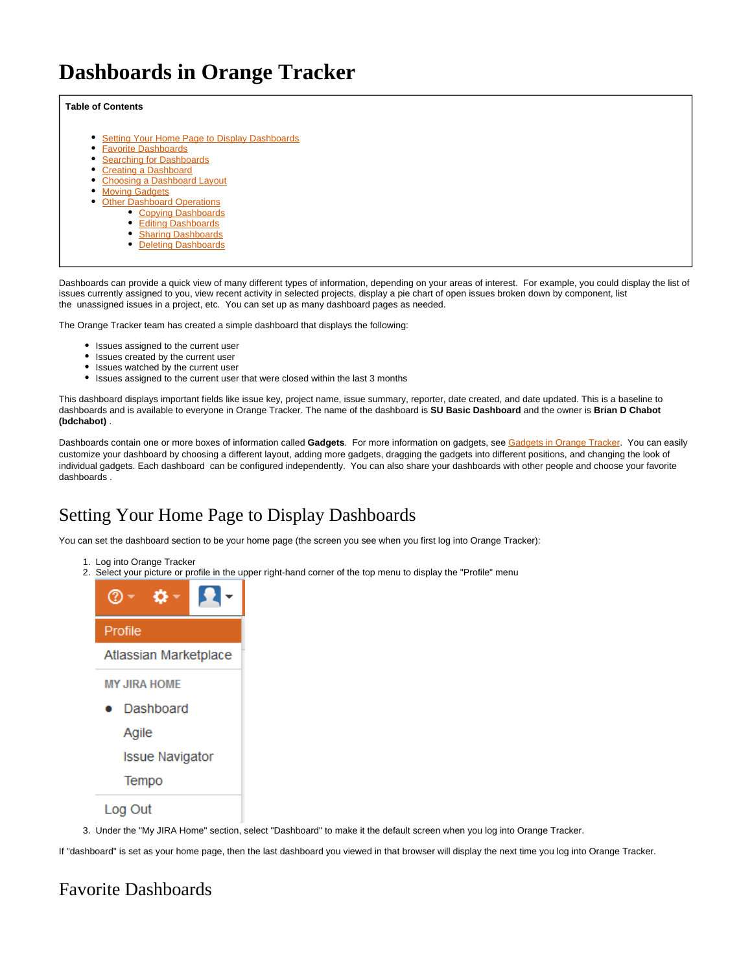# **Dashboards in Orange Tracker**

### **Table of Contents**

- [Setting Your Home Page to Display Dashboards](#page-0-0)
- [Favorite Dashboards](#page-0-1)  $\bullet$
- **[Searching for Dashboards](#page-1-0)**
- [Creating a Dashboard](#page-2-0)
- [Choosing a Dashboard Layout](#page-3-0)
- [Moving Gadgets](#page-3-1)
	- **[Other Dashboard Operations](#page-3-2)** 
		- **[Copying Dashboards](#page-3-3)**
		- [Editing Dashboards](#page-3-4)
		- **[Sharing Dashboards](#page-4-0)**
		- [Deleting Dashboards](#page-4-1)

Dashboards can provide a quick view of many different types of information, depending on your areas of interest. For example, you could display the list of issues currently assigned to you, view recent activity in selected projects, display a pie chart of open issues broken down by component, list the unassigned issues in a project, etc. You can set up as many dashboard pages as needed.

The Orange Tracker team has created a simple dashboard that displays the following:

- Issues assigned to the current user
- $\bullet$ Issues created by the current user
- Issues watched by the current user
- Issues assigned to the current user that were closed within the last 3 months

This dashboard displays important fields like issue key, project name, issue summary, reporter, date created, and date updated. This is a baseline to dashboards and is available to everyone in Orange Tracker. The name of the dashboard is **SU Basic Dashboard** and the owner is **Brian D Chabot (bdchabot)** .

Dashboards contain one or more boxes of information called **Gadgets**. For more information on gadgets, see [Gadgets in Orange Tracker.](https://answers.syr.edu/display/ITHELP/Gadgets+in+Orange+Tracker) You can easily customize your dashboard by choosing a different layout, adding more gadgets, dragging the gadgets into different positions, and changing the look of individual gadgets. Each dashboard can be configured independently. You can also share your dashboards with other people and choose your favorite dashboards .

# <span id="page-0-0"></span>Setting Your Home Page to Display Dashboards

You can set the dashboard section to be your home page (the screen you see when you first log into Orange Tracker):

- 1. Log into Orange Tracker
- 2. Select your picture or profile in the upper right-hand corner of the top menu to display the "Profile" menu



3. Under the "My JIRA Home" section, select "Dashboard" to make it the default screen when you log into Orange Tracker.

If "dashboard" is set as your home page, then the last dashboard you viewed in that browser will display the next time you log into Orange Tracker.

# <span id="page-0-1"></span>Favorite Dashboards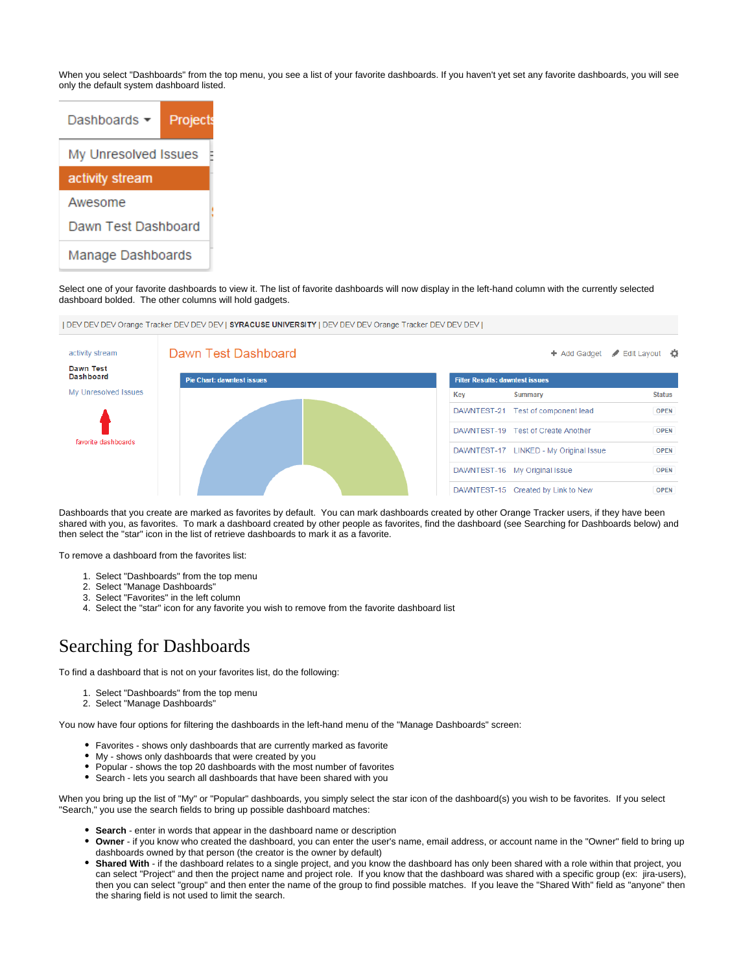When you select "Dashboards" from the top menu, you see a list of your favorite dashboards. If you haven't yet set any favorite dashboards, you will see only the default system dashboard listed.



Select one of your favorite dashboards to view it. The list of favorite dashboards will now display in the left-hand column with the currently selected dashboard bolded. The other columns will hold gadgets.

| DEV DEV DEV Orange Tracker DEV DEV DEV | SYRACUSE UNIVERSITY | DEV DEV DEV Orange Tracker DEV DEV DEV |



Dashboards that you create are marked as favorites by default. You can mark dashboards created by other Orange Tracker users, if they have been shared with you, as favorites. To mark a dashboard created by other people as favorites, find the dashboard (see Searching for Dashboards below) and then select the "star" icon in the list of retrieve dashboards to mark it as a favorite.

To remove a dashboard from the favorites list:

- 1. Select "Dashboards" from the top menu
- 2. Select "Manage Dashboards"
- 3. Select "Favorites" in the left column
- 4. Select the "star" icon for any favorite you wish to remove from the favorite dashboard list

## <span id="page-1-0"></span>Searching for Dashboards

To find a dashboard that is not on your favorites list, do the following:

- 1. Select "Dashboards" from the top menu
- 2. Select "Manage Dashboards"

You now have four options for filtering the dashboards in the left-hand menu of the "Manage Dashboards" screen:

- Favorites shows only dashboards that are currently marked as favorite
- My shows only dashboards that were created by you
- Popular shows the top 20 dashboards with the most number of favorites
- Search lets you search all dashboards that have been shared with you

When you bring up the list of "My" or "Popular" dashboards, you simply select the star icon of the dashboard(s) you wish to be favorites. If you select "Search," you use the search fields to bring up possible dashboard matches:

- **Search** enter in words that appear in the dashboard name or description
- **Owner** if you know who created the dashboard, you can enter the user's name, email address, or account name in the "Owner" field to bring up dashboards owned by that person (the creator is the owner by default)
- **Shared With** if the dashboard relates to a single project, and you know the dashboard has only been shared with a role within that project, you can select "Project" and then the project name and project role. If you know that the dashboard was shared with a specific group (ex: jira-users), then you can select "group" and then enter the name of the group to find possible matches. If you leave the "Shared With" field as "anyone" then the sharing field is not used to limit the search.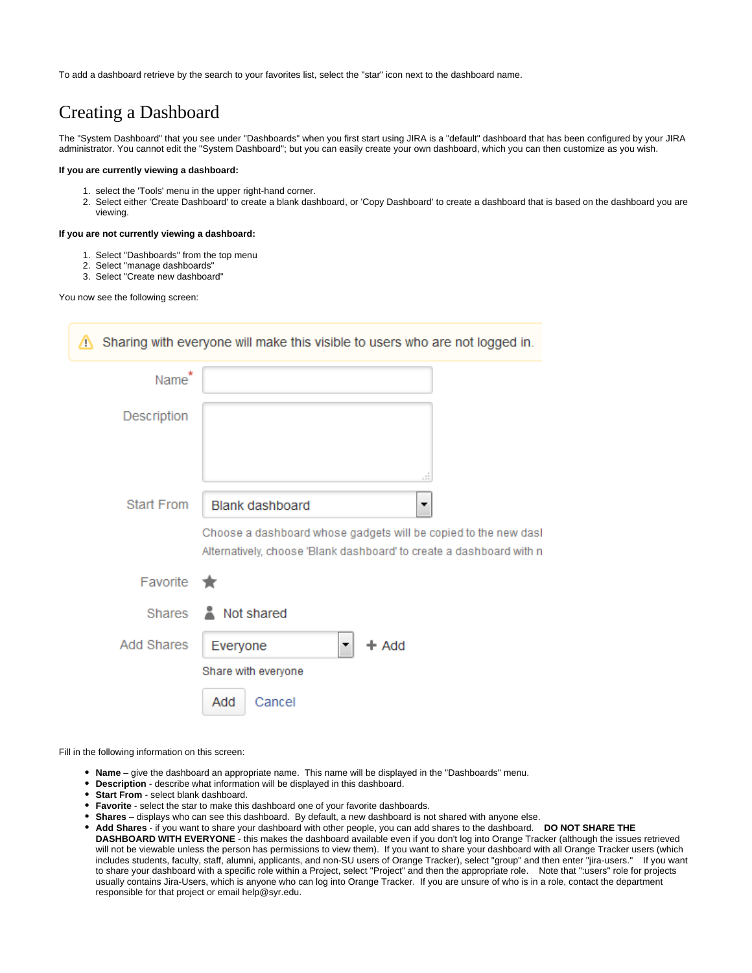To add a dashboard retrieve by the search to your favorites list, select the "star" icon next to the dashboard name.

# <span id="page-2-0"></span>Creating a Dashboard

The "System Dashboard" that you see under "Dashboards" when you first start using JIRA is a "default" dashboard that has been configured by your JIRA administrator. You cannot edit the "System Dashboard"; but you can easily create your own dashboard, which you can then customize as you wish.

### **If you are currently viewing a dashboard:**

- 1. select the 'Tools' menu in the upper right-hand corner.
- 2. Select either 'Create Dashboard' to create a blank dashboard, or 'Copy Dashboard' to create a dashboard that is based on the dashboard you are viewing.

#### **If you are not currently viewing a dashboard:**

- 1. Select "Dashboards" from the top menu
- 2. Select "manage dashboards"
- 3. Select "Create new dashboard"

You now see the following screen:

| W.                | Sharing with everyone will make this visible to users who are not logged in.                                                                                           |
|-------------------|------------------------------------------------------------------------------------------------------------------------------------------------------------------------|
| Name*             |                                                                                                                                                                        |
| Description       | 44                                                                                                                                                                     |
| Start From        | <b>Blank dashboard</b><br>▼<br>Choose a dashboard whose gadgets will be copied to the new dasl<br>Alternatively, choose 'Blank dashboard' to create a dashboard with n |
| Favorite          | - 187                                                                                                                                                                  |
|                   | Shares & Not shared                                                                                                                                                    |
| <b>Add Shares</b> | Everyone<br>$+$ Add<br>Share with everyone<br>Add<br>Cancel                                                                                                            |

<span id="page-2-1"></span>Fill in the following information on this screen:

- **Name** give the dashboard an appropriate name. This name will be displayed in the "Dashboards" menu.
- **Description** describe what information will be displayed in this dashboard.
- **Start From** select blank dashboard.
- **Favorite** select the star to make this dashboard one of your favorite dashboards.
- **Shares** displays who can see this dashboard. By default, a new dashboard is not shared with anyone else.
- **Add Shares** if you want to share your dashboard with other people, you can add shares to the dashboard. **DO NOT SHARE THE DASHBOARD WITH EVERYONE** - this makes the dashboard available even if you don't log into Orange Tracker (although the issues retrieved will not be viewable unless the person has permissions to view them). If you want to share your dashboard with all Orange Tracker users (which includes students, faculty, staff, alumni, applicants, and non-SU users of Orange Tracker), select "group" and then enter "jira-users." If you want to share your dashboard with a specific role within a Project, select "Project" and then the appropriate role. Note that ":users" role for projects usually contains Jira-Users, which is anyone who can log into Orange Tracker. If you are unsure of who is in a role, contact the department responsible for that project or email help@syr.edu.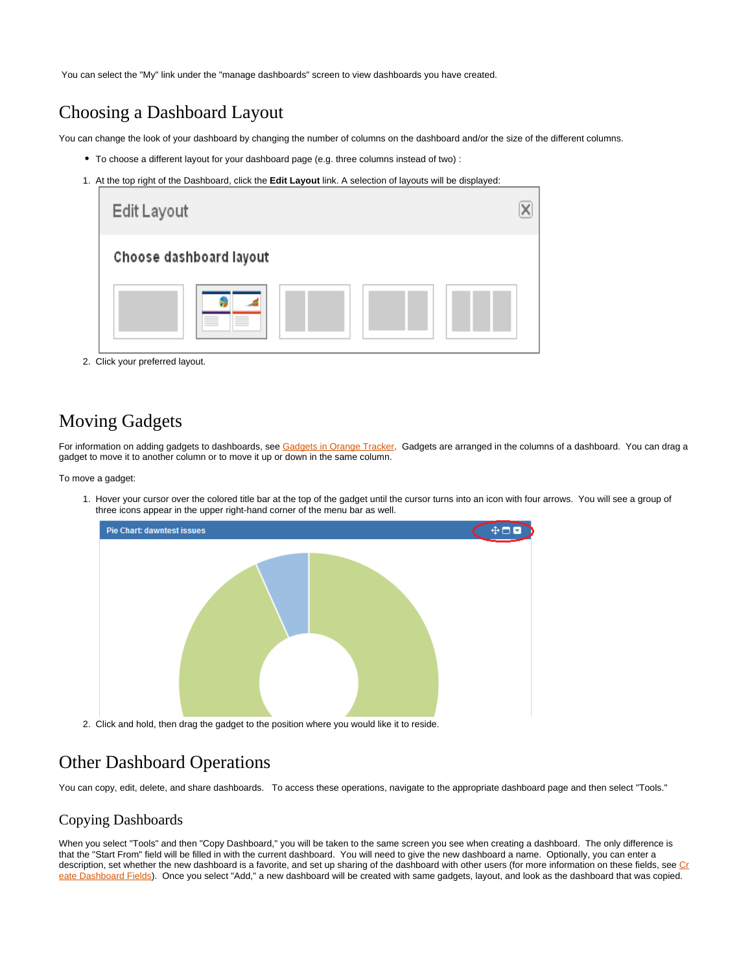You can select the "My" link under the "manage dashboards" screen to view dashboards you have created.

# <span id="page-3-0"></span>Choosing a Dashboard Layout

You can change the look of your dashboard by changing the number of columns on the dashboard and/or the size of the different columns.

- To choose a different layout for your dashboard page (e.g. three columns instead of two) :
- 1. At the top right of the Dashboard, click the **Edit Layout** link. A selection of layouts will be displayed:

| Edit Layout                   |  |
|-------------------------------|--|
| Choose dashboard layout       |  |
| _____<br>____<br>___<br>_____ |  |

2. Click your preferred layout.

# <span id="page-3-1"></span>Moving Gadgets

For information on adding gadgets to dashboards, see [Gadgets in Orange Tracker](https://answers.syr.edu/display/ITHELP/Gadgets+in+Orange+Tracker). Gadgets are arranged in the columns of a dashboard. You can drag a gadget to move it to another column or to move it up or down in the same column.

To move a gadget:

1. Hover your cursor over the colored title bar at the top of the gadget until the cursor turns into an icon with four arrows. You will see a group of three icons appear in the upper right-hand corner of the menu bar as well.



# <span id="page-3-2"></span>Other Dashboard Operations

You can copy, edit, delete, and share dashboards. To access these operations, navigate to the appropriate dashboard page and then select "Tools."

### <span id="page-3-3"></span>Copying Dashboards

<span id="page-3-4"></span>When you select "Tools" and then "Copy Dashboard," you will be taken to the same screen you see when creating a dashboard. The only difference is that the "Start From" field will be filled in with the current dashboard. You will need to give the new dashboard a name. Optionally, you can enter a description, set whether the new dashboard is a favorite, and set up sharing of the dashboard with other users (for more information on these fields, see [Cr](#page-2-1) [eate Dashboard Fields](#page-2-1)). Once you select "Add," a new dashboard will be created with same gadgets, layout, and look as the dashboard that was copied.